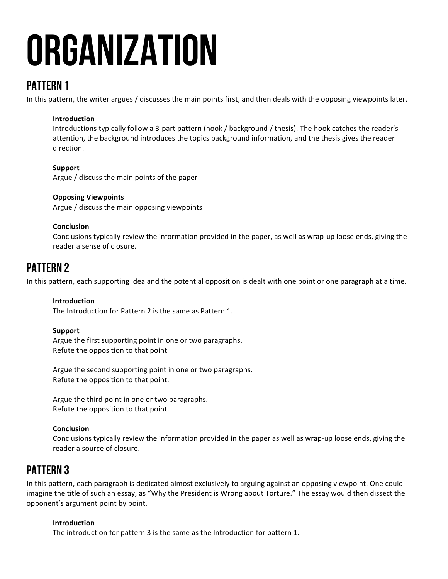# **ORGANIZATION**

# PATTERN 1

In this pattern, the writer argues / discusses the main points first, and then deals with the opposing viewpoints later.

## **Introduction**

Introductions typically follow a 3-part pattern (hook / background / thesis). The hook catches the reader's attention, the background introduces the topics background information, and the thesis gives the reader direction.

## **Support**

Argue / discuss the main points of the paper

## **Opposing Viewpoints**

Argue / discuss the main opposing viewpoints

## **Conclusion**

Conclusions typically review the information provided in the paper, as well as wrap-up loose ends, giving the reader a sense of closure.

# PATTERN 2

In this pattern, each supporting idea and the potential opposition is dealt with one point or one paragraph at a time.

## **Introduction**

The Introduction for Pattern 2 is the same as Pattern 1.

## **Support**

Argue the first supporting point in one or two paragraphs. Refute the opposition to that point

Argue the second supporting point in one or two paragraphs. Refute the opposition to that point.

Argue the third point in one or two paragraphs. Refute the opposition to that point.

## **Conclusion**

Conclusions typically review the information provided in the paper as well as wrap-up loose ends, giving the reader a source of closure.

# PATTERN 3

In this pattern, each paragraph is dedicated almost exclusively to arguing against an opposing viewpoint. One could imagine the title of such an essay, as "Why the President is Wrong about Torture." The essay would then dissect the opponent's argument point by point.

# **Introduction**

The introduction for pattern 3 is the same as the Introduction for pattern 1.